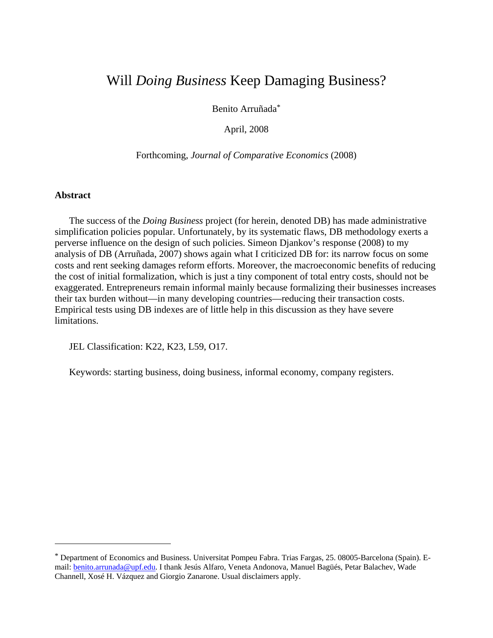# Will *Doing Business* Keep Damaging Business?

Benito Arruñada\*

April, 2008

Forthcoming, *Journal of Comparative Economics* (2008)

# **Abstract**

 $\overline{a}$ 

The success of the *Doing Business* project (for herein, denoted DB) has made administrative simplification policies popular. Unfortunately, by its systematic flaws, DB methodology exerts a perverse influence on the design of such policies. Simeon Djankov's response (2008) to my analysis of DB (Arruñada, 2007) shows again what I criticized DB for: its narrow focus on some costs and rent seeking damages reform efforts. Moreover, the macroeconomic benefits of reducing the cost of initial formalization, which is just a tiny component of total entry costs, should not be exaggerated. Entrepreneurs remain informal mainly because formalizing their businesses increases their tax burden without—in many developing countries—reducing their transaction costs. Empirical tests using DB indexes are of little help in this discussion as they have severe limitations.

JEL Classification: K22, K23, L59, O17.

Keywords: starting business, doing business, informal economy, company registers.

<sup>\*</sup> Department of Economics and Business. Universitat Pompeu Fabra. Trias Fargas, 25. 08005-Barcelona (Spain). Email: **benito.arrunada@upf.edu.** I thank Jesús Alfaro, Veneta Andonova, Manuel Bagüés, Petar Balachev, Wade Channell, Xosé H. Vázquez and Giorgio Zanarone. Usual disclaimers apply.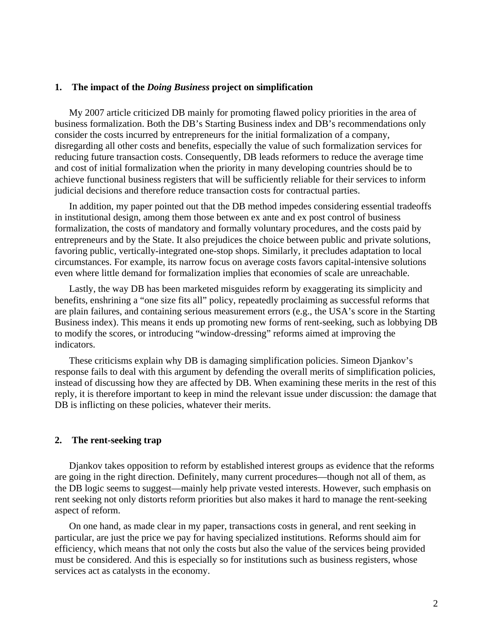# **1. The impact of the** *Doing Business* **project on simplification**

My 2007 article criticized DB mainly for promoting flawed policy priorities in the area of business formalization. Both the DB's Starting Business index and DB's recommendations only consider the costs incurred by entrepreneurs for the initial formalization of a company, disregarding all other costs and benefits, especially the value of such formalization services for reducing future transaction costs. Consequently, DB leads reformers to reduce the average time and cost of initial formalization when the priority in many developing countries should be to achieve functional business registers that will be sufficiently reliable for their services to inform judicial decisions and therefore reduce transaction costs for contractual parties.

In addition, my paper pointed out that the DB method impedes considering essential tradeoffs in institutional design, among them those between ex ante and ex post control of business formalization, the costs of mandatory and formally voluntary procedures, and the costs paid by entrepreneurs and by the State. It also prejudices the choice between public and private solutions, favoring public, vertically-integrated one-stop shops. Similarly, it precludes adaptation to local circumstances. For example, its narrow focus on average costs favors capital-intensive solutions even where little demand for formalization implies that economies of scale are unreachable.

Lastly, the way DB has been marketed misguides reform by exaggerating its simplicity and benefits, enshrining a "one size fits all" policy, repeatedly proclaiming as successful reforms that are plain failures, and containing serious measurement errors (e.g., the USA's score in the Starting Business index). This means it ends up promoting new forms of rent-seeking, such as lobbying DB to modify the scores, or introducing "window-dressing" reforms aimed at improving the indicators.

These criticisms explain why DB is damaging simplification policies. Simeon Djankov's response fails to deal with this argument by defending the overall merits of simplification policies, instead of discussing how they are affected by DB. When examining these merits in the rest of this reply, it is therefore important to keep in mind the relevant issue under discussion: the damage that DB is inflicting on these policies, whatever their merits.

# **2. The rent-seeking trap**

Djankov takes opposition to reform by established interest groups as evidence that the reforms are going in the right direction. Definitely, many current procedures—though not all of them, as the DB logic seems to suggest—mainly help private vested interests. However, such emphasis on rent seeking not only distorts reform priorities but also makes it hard to manage the rent-seeking aspect of reform.

On one hand, as made clear in my paper, transactions costs in general, and rent seeking in particular, are just the price we pay for having specialized institutions. Reforms should aim for efficiency, which means that not only the costs but also the value of the services being provided must be considered. And this is especially so for institutions such as business registers, whose services act as catalysts in the economy.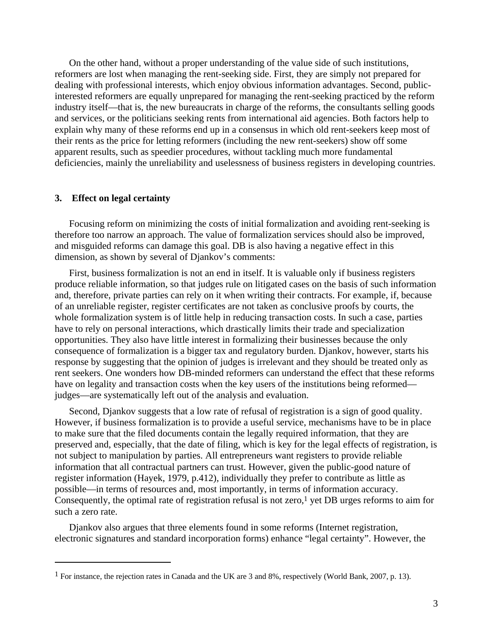On the other hand, without a proper understanding of the value side of such institutions, reformers are lost when managing the rent-seeking side. First, they are simply not prepared for dealing with professional interests, which enjoy obvious information advantages. Second, publicinterested reformers are equally unprepared for managing the rent-seeking practiced by the reform industry itself—that is, the new bureaucrats in charge of the reforms, the consultants selling goods and services, or the politicians seeking rents from international aid agencies. Both factors help to explain why many of these reforms end up in a consensus in which old rent-seekers keep most of their rents as the price for letting reformers (including the new rent-seekers) show off some apparent results, such as speedier procedures, without tackling much more fundamental deficiencies, mainly the unreliability and uselessness of business registers in developing countries.

# **3. Effect on legal certainty**

 $\overline{a}$ 

Focusing reform on minimizing the costs of initial formalization and avoiding rent-seeking is therefore too narrow an approach. The value of formalization services should also be improved, and misguided reforms can damage this goal. DB is also having a negative effect in this dimension, as shown by several of Djankov's comments:

First, business formalization is not an end in itself. It is valuable only if business registers produce reliable information, so that judges rule on litigated cases on the basis of such information and, therefore, private parties can rely on it when writing their contracts. For example, if, because of an unreliable register, register certificates are not taken as conclusive proofs by courts, the whole formalization system is of little help in reducing transaction costs. In such a case, parties have to rely on personal interactions, which drastically limits their trade and specialization opportunities. They also have little interest in formalizing their businesses because the only consequence of formalization is a bigger tax and regulatory burden. Djankov, however, starts his response by suggesting that the opinion of judges is irrelevant and they should be treated only as rent seekers. One wonders how DB-minded reformers can understand the effect that these reforms have on legality and transaction costs when the key users of the institutions being reformed judges—are systematically left out of the analysis and evaluation.

Second, Djankov suggests that a low rate of refusal of registration is a sign of good quality. However, if business formalization is to provide a useful service, mechanisms have to be in place to make sure that the filed documents contain the legally required information, that they are preserved and, especially, that the date of filing, which is key for the legal effects of registration, is not subject to manipulation by parties. All entrepreneurs want registers to provide reliable information that all contractual partners can trust. However, given the public-good nature of register information (Hayek, 1979, p.412), individually they prefer to contribute as little as possible—in terms of resources and, most importantly, in terms of information accuracy. Consequently, the optimal rate of registration refusal is not zero, $<sup>1</sup>$  yet DB urges reforms to aim for</sup> such a zero rate.

Djankov also argues that three elements found in some reforms (Internet registration, electronic signatures and standard incorporation forms) enhance "legal certainty". However, the

<sup>1</sup> For instance, the rejection rates in Canada and the UK are 3 and 8%, respectively (World Bank, 2007, p. 13).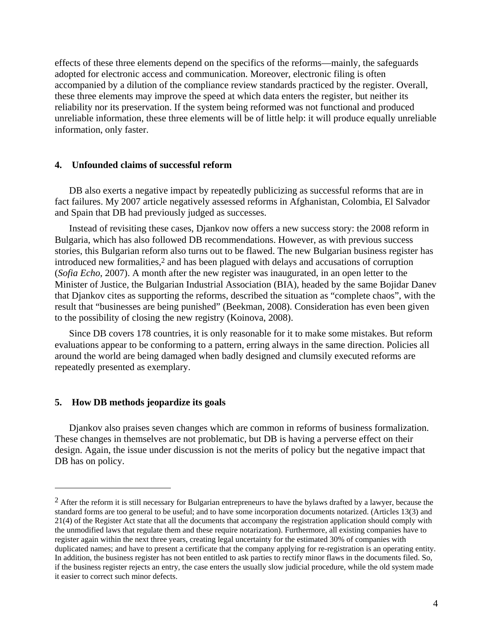effects of these three elements depend on the specifics of the reforms—mainly, the safeguards adopted for electronic access and communication. Moreover, electronic filing is often accompanied by a dilution of the compliance review standards practiced by the register. Overall, these three elements may improve the speed at which data enters the register, but neither its reliability nor its preservation. If the system being reformed was not functional and produced unreliable information, these three elements will be of little help: it will produce equally unreliable information, only faster.

# **4. Unfounded claims of successful reform**

DB also exerts a negative impact by repeatedly publicizing as successful reforms that are in fact failures. My 2007 article negatively assessed reforms in Afghanistan, Colombia, El Salvador and Spain that DB had previously judged as successes.

Instead of revisiting these cases, Djankov now offers a new success story: the 2008 reform in Bulgaria, which has also followed DB recommendations. However, as with previous success stories, this Bulgarian reform also turns out to be flawed. The new Bulgarian business register has introduced new formalities,2 and has been plagued with delays and accusations of corruption (*Sofia Echo*, 2007). A month after the new register was inaugurated, in an open letter to the Minister of Justice, the Bulgarian Industrial Association (BIA), headed by the same Bojidar Danev that Djankov cites as supporting the reforms, described the situation as "complete chaos", with the result that "businesses are being punished" (Beekman, 2008). Consideration has even been given to the possibility of closing the new registry (Koinova, 2008).

Since DB covers 178 countries, it is only reasonable for it to make some mistakes. But reform evaluations appear to be conforming to a pattern, erring always in the same direction. Policies all around the world are being damaged when badly designed and clumsily executed reforms are repeatedly presented as exemplary.

#### **5. How DB methods jeopardize its goals**

 $\overline{a}$ 

Djankov also praises seven changes which are common in reforms of business formalization. These changes in themselves are not problematic, but DB is having a perverse effect on their design. Again, the issue under discussion is not the merits of policy but the negative impact that DB has on policy.

 $<sup>2</sup>$  After the reform it is still necessary for Bulgarian entrepreneurs to have the bylaws drafted by a lawyer, because the</sup> standard forms are too general to be useful; and to have some incorporation documents notarized. (Articles 13(3) and 21(4) of the Register Act state that all the documents that accompany the registration application should comply with the unmodified laws that regulate them and these require notarization). Furthermore, all existing companies have to register again within the next three years, creating legal uncertainty for the estimated 30% of companies with duplicated names; and have to present a certificate that the company applying for re-registration is an operating entity. In addition, the business register has not been entitled to ask parties to rectify minor flaws in the documents filed. So, if the business register rejects an entry, the case enters the usually slow judicial procedure, while the old system made it easier to correct such minor defects.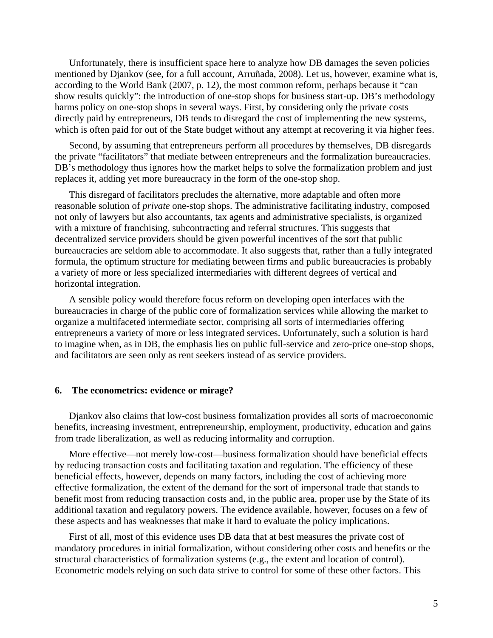Unfortunately, there is insufficient space here to analyze how DB damages the seven policies mentioned by Djankov (see, for a full account, Arruñada, 2008). Let us, however, examine what is, according to the World Bank (2007, p. 12), the most common reform, perhaps because it "can show results quickly": the introduction of one-stop shops for business start-up. DB's methodology harms policy on one-stop shops in several ways. First, by considering only the private costs directly paid by entrepreneurs, DB tends to disregard the cost of implementing the new systems, which is often paid for out of the State budget without any attempt at recovering it via higher fees.

Second, by assuming that entrepreneurs perform all procedures by themselves, DB disregards the private "facilitators" that mediate between entrepreneurs and the formalization bureaucracies. DB's methodology thus ignores how the market helps to solve the formalization problem and just replaces it, adding yet more bureaucracy in the form of the one-stop shop.

This disregard of facilitators precludes the alternative, more adaptable and often more reasonable solution of *private* one-stop shops. The administrative facilitating industry, composed not only of lawyers but also accountants, tax agents and administrative specialists, is organized with a mixture of franchising, subcontracting and referral structures. This suggests that decentralized service providers should be given powerful incentives of the sort that public bureaucracies are seldom able to accommodate. It also suggests that, rather than a fully integrated formula, the optimum structure for mediating between firms and public bureaucracies is probably a variety of more or less specialized intermediaries with different degrees of vertical and horizontal integration.

A sensible policy would therefore focus reform on developing open interfaces with the bureaucracies in charge of the public core of formalization services while allowing the market to organize a multifaceted intermediate sector, comprising all sorts of intermediaries offering entrepreneurs a variety of more or less integrated services. Unfortunately, such a solution is hard to imagine when, as in DB, the emphasis lies on public full-service and zero-price one-stop shops, and facilitators are seen only as rent seekers instead of as service providers.

#### **6. The econometrics: evidence or mirage?**

Djankov also claims that low-cost business formalization provides all sorts of macroeconomic benefits, increasing investment, entrepreneurship, employment, productivity, education and gains from trade liberalization, as well as reducing informality and corruption.

More effective—not merely low-cost—business formalization should have beneficial effects by reducing transaction costs and facilitating taxation and regulation. The efficiency of these beneficial effects, however, depends on many factors, including the cost of achieving more effective formalization, the extent of the demand for the sort of impersonal trade that stands to benefit most from reducing transaction costs and, in the public area, proper use by the State of its additional taxation and regulatory powers. The evidence available, however, focuses on a few of these aspects and has weaknesses that make it hard to evaluate the policy implications.

First of all, most of this evidence uses DB data that at best measures the private cost of mandatory procedures in initial formalization, without considering other costs and benefits or the structural characteristics of formalization systems (e.g., the extent and location of control). Econometric models relying on such data strive to control for some of these other factors. This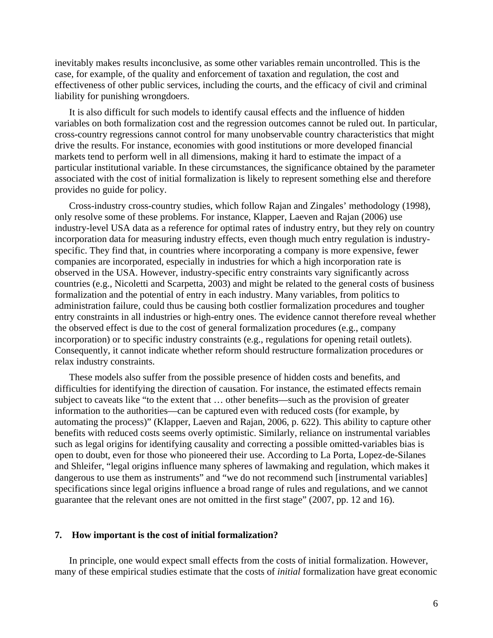inevitably makes results inconclusive, as some other variables remain uncontrolled. This is the case, for example, of the quality and enforcement of taxation and regulation, the cost and effectiveness of other public services, including the courts, and the efficacy of civil and criminal liability for punishing wrongdoers.

It is also difficult for such models to identify causal effects and the influence of hidden variables on both formalization cost and the regression outcomes cannot be ruled out. In particular, cross-country regressions cannot control for many unobservable country characteristics that might drive the results. For instance, economies with good institutions or more developed financial markets tend to perform well in all dimensions, making it hard to estimate the impact of a particular institutional variable. In these circumstances, the significance obtained by the parameter associated with the cost of initial formalization is likely to represent something else and therefore provides no guide for policy.

Cross-industry cross-country studies, which follow Rajan and Zingales' methodology (1998), only resolve some of these problems. For instance, Klapper, Laeven and Rajan (2006) use industry-level USA data as a reference for optimal rates of industry entry, but they rely on country incorporation data for measuring industry effects, even though much entry regulation is industryspecific. They find that, in countries where incorporating a company is more expensive, fewer companies are incorporated, especially in industries for which a high incorporation rate is observed in the USA. However, industry-specific entry constraints vary significantly across countries (e.g., Nicoletti and Scarpetta, 2003) and might be related to the general costs of business formalization and the potential of entry in each industry. Many variables, from politics to administration failure, could thus be causing both costlier formalization procedures and tougher entry constraints in all industries or high-entry ones. The evidence cannot therefore reveal whether the observed effect is due to the cost of general formalization procedures (e.g., company incorporation) or to specific industry constraints (e.g., regulations for opening retail outlets). Consequently, it cannot indicate whether reform should restructure formalization procedures or relax industry constraints.

These models also suffer from the possible presence of hidden costs and benefits, and difficulties for identifying the direction of causation. For instance, the estimated effects remain subject to caveats like "to the extent that … other benefits—such as the provision of greater information to the authorities—can be captured even with reduced costs (for example, by automating the process)" (Klapper, Laeven and Rajan, 2006, p. 622). This ability to capture other benefits with reduced costs seems overly optimistic. Similarly, reliance on instrumental variables such as legal origins for identifying causality and correcting a possible omitted-variables bias is open to doubt, even for those who pioneered their use. According to La Porta, Lopez-de-Silanes and Shleifer, "legal origins influence many spheres of lawmaking and regulation, which makes it dangerous to use them as instruments" and "we do not recommend such [instrumental variables] specifications since legal origins influence a broad range of rules and regulations, and we cannot guarantee that the relevant ones are not omitted in the first stage" (2007, pp. 12 and 16).

# **7. How important is the cost of initial formalization?**

In principle, one would expect small effects from the costs of initial formalization. However, many of these empirical studies estimate that the costs of *initial* formalization have great economic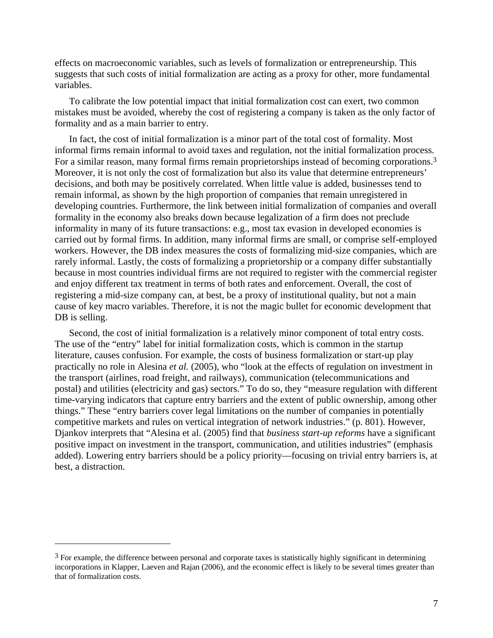effects on macroeconomic variables, such as levels of formalization or entrepreneurship. This suggests that such costs of initial formalization are acting as a proxy for other, more fundamental variables.

To calibrate the low potential impact that initial formalization cost can exert, two common mistakes must be avoided, whereby the cost of registering a company is taken as the only factor of formality and as a main barrier to entry.

In fact, the cost of initial formalization is a minor part of the total cost of formality. Most informal firms remain informal to avoid taxes and regulation, not the initial formalization process. For a similar reason, many formal firms remain proprietorships instead of becoming corporations.<sup>3</sup> Moreover, it is not only the cost of formalization but also its value that determine entrepreneurs' decisions, and both may be positively correlated. When little value is added, businesses tend to remain informal, as shown by the high proportion of companies that remain unregistered in developing countries. Furthermore, the link between initial formalization of companies and overall formality in the economy also breaks down because legalization of a firm does not preclude informality in many of its future transactions: e.g., most tax evasion in developed economies is carried out by formal firms. In addition, many informal firms are small, or comprise self-employed workers. However, the DB index measures the costs of formalizing mid-size companies, which are rarely informal. Lastly, the costs of formalizing a proprietorship or a company differ substantially because in most countries individual firms are not required to register with the commercial register and enjoy different tax treatment in terms of both rates and enforcement. Overall, the cost of registering a mid-size company can, at best, be a proxy of institutional quality, but not a main cause of key macro variables. Therefore, it is not the magic bullet for economic development that DB is selling.

Second, the cost of initial formalization is a relatively minor component of total entry costs. The use of the "entry" label for initial formalization costs, which is common in the startup literature, causes confusion. For example, the costs of business formalization or start-up play practically no role in Alesina *et al.* (2005), who "look at the effects of regulation on investment in the transport (airlines, road freight, and railways), communication (telecommunications and postal) and utilities (electricity and gas) sectors." To do so, they "measure regulation with different time-varying indicators that capture entry barriers and the extent of public ownership, among other things." These "entry barriers cover legal limitations on the number of companies in potentially competitive markets and rules on vertical integration of network industries." (p. 801). However, Djankov interprets that "Alesina et al. (2005) find that *business start-up reforms* have a significant positive impact on investment in the transport, communication, and utilities industries" (emphasis added). Lowering entry barriers should be a policy priority—focusing on trivial entry barriers is, at best, a distraction.

 $\overline{a}$ 

 $3$  For example, the difference between personal and corporate taxes is statistically highly significant in determining incorporations in Klapper, Laeven and Rajan (2006), and the economic effect is likely to be several times greater than that of formalization costs.